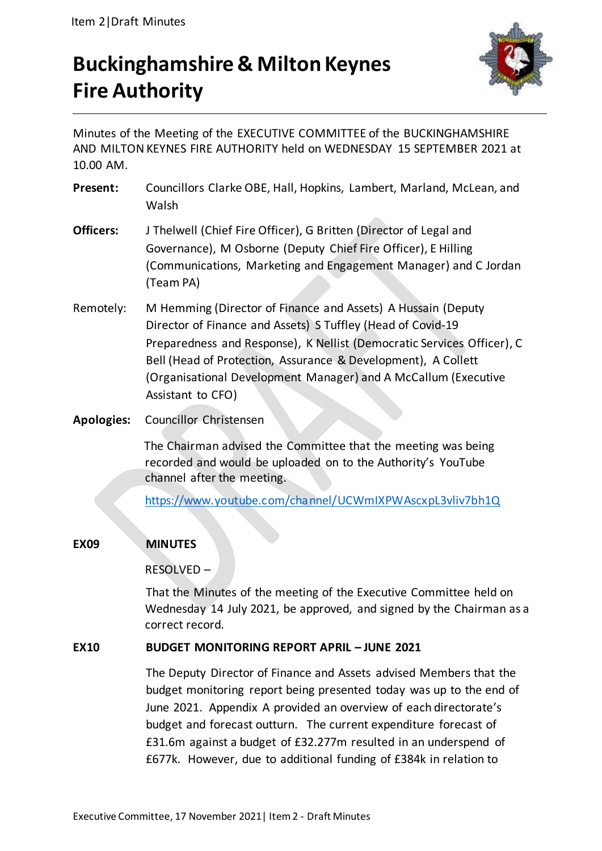# **Buckinghamshire & Milton Keynes Fire Authority**



Minutes of the Meeting of the EXECUTIVE COMMITTEE of the BUCKINGHAMSHIRE AND MILTON KEYNES FIRE AUTHORITY held on WEDNESDAY 15 SEPTEMBER 2021 at 10.00 AM.

- **Present:** Councillors Clarke OBE, Hall, Hopkins, Lambert, Marland, McLean, and Walsh
- **Officers:** J Thelwell (Chief Fire Officer), G Britten (Director of Legal and Governance), M Osborne (Deputy Chief Fire Officer), E Hilling (Communications, Marketing and Engagement Manager) and C Jordan (Team PA)
- Remotely: M Hemming (Director of Finance and Assets) A Hussain (Deputy Director of Finance and Assets) S Tuffley (Head of Covid-19 Preparedness and Response), K Nellist (Democratic Services Officer), C Bell (Head of Protection, Assurance & Development), A Collett (Organisational Development Manager) and A McCallum (Executive Assistant to CFO)
- **Apologies:** Councillor Christensen

The Chairman advised the Committee that the meeting was being recorded and would be uploaded on to the Authority's YouTube channel after the meeting.

<https://www.youtube.com/channel/UCWmIXPWAscxpL3vliv7bh1Q>

# **EX09 MINUTES**

# RESOLVED –

That the Minutes of the meeting of the Executive Committee held on Wednesday 14 July 2021, be approved, and signed by the Chairman as a correct record.

# **EX10 BUDGET MONITORING REPORT APRIL – JUNE 2021**

The Deputy Director of Finance and Assets advised Members that the budget monitoring report being presented today was up to the end of June 2021. Appendix A provided an overview of each directorate's budget and forecast outturn. The current expenditure forecast of £31.6m against a budget of £32.277m resulted in an underspend of £677k. However, due to additional funding of £384k in relation to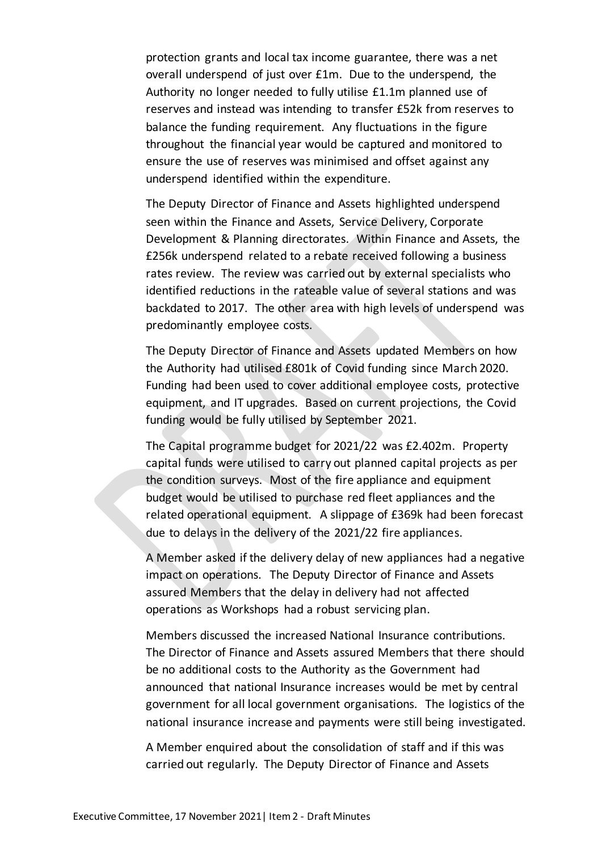protection grants and local tax income guarantee, there was a net overall underspend of just over £1m. Due to the underspend, the Authority no longer needed to fully utilise £1.1m planned use of reserves and instead was intending to transfer £52k from reserves to balance the funding requirement. Any fluctuations in the figure throughout the financial year would be captured and monitored to ensure the use of reserves was minimised and offset against any underspend identified within the expenditure.

The Deputy Director of Finance and Assets highlighted underspend seen within the Finance and Assets, Service Delivery, Corporate Development & Planning directorates. Within Finance and Assets, the £256k underspend related to a rebate received following a business rates review. The review was carried out by external specialists who identified reductions in the rateable value of several stations and was backdated to 2017. The other area with high levels of underspend was predominantly employee costs.

The Deputy Director of Finance and Assets updated Members on how the Authority had utilised £801k of Covid funding since March 2020. Funding had been used to cover additional employee costs, protective equipment, and IT upgrades. Based on current projections, the Covid funding would be fully utilised by September 2021.

The Capital programme budget for 2021/22 was £2.402m. Property capital funds were utilised to carry out planned capital projects as per the condition surveys. Most of the fire appliance and equipment budget would be utilised to purchase red fleet appliances and the related operational equipment. A slippage of £369k had been forecast due to delays in the delivery of the 2021/22 fire appliances.

A Member asked if the delivery delay of new appliances had a negative impact on operations. The Deputy Director of Finance and Assets assured Members that the delay in delivery had not affected operations as Workshops had a robust servicing plan.

Members discussed the increased National Insurance contributions. The Director of Finance and Assets assured Members that there should be no additional costs to the Authority as the Government had announced that national Insurance increases would be met by central government for all local government organisations. The logistics of the national insurance increase and payments were still being investigated.

A Member enquired about the consolidation of staff and if this was carried out regularly. The Deputy Director of Finance and Assets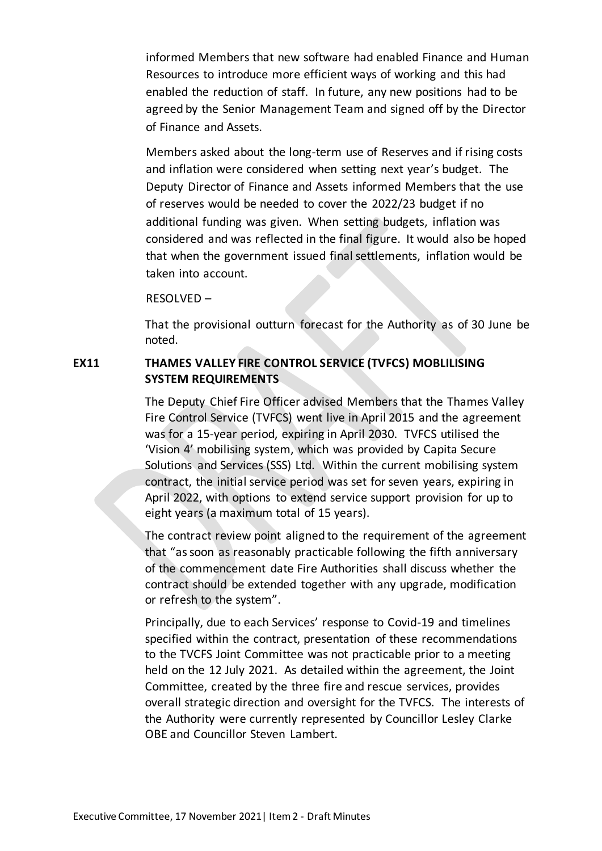informed Members that new software had enabled Finance and Human Resources to introduce more efficient ways of working and this had enabled the reduction of staff. In future, any new positions had to be agreed by the Senior Management Team and signed off by the Director of Finance and Assets.

Members asked about the long-term use of Reserves and if rising costs and inflation were considered when setting next year's budget. The Deputy Director of Finance and Assets informed Members that the use of reserves would be needed to cover the 2022/23 budget if no additional funding was given. When setting budgets, inflation was considered and was reflected in the final figure. It would also be hoped that when the government issued final settlements, inflation would be taken into account.

RESOLVED –

That the provisional outturn forecast for the Authority as of 30 June be noted.

## **EX11 THAMES VALLEY FIRE CONTROL SERVICE (TVFCS) MOBLILISING SYSTEM REQUIREMENTS**

The Deputy Chief Fire Officer advised Members that the Thames Valley Fire Control Service (TVFCS) went live in April 2015 and the agreement was for a 15-year period, expiring in April 2030. TVFCS utilised the 'Vision 4' mobilising system, which was provided by Capita Secure Solutions and Services (SSS) Ltd. Within the current mobilising system contract, the initial service period was set for seven years, expiring in April 2022, with options to extend service support provision for up to eight years (a maximum total of 15 years).

The contract review point aligned to the requirement of the agreement that "as soon as reasonably practicable following the fifth anniversary of the commencement date Fire Authorities shall discuss whether the contract should be extended together with any upgrade, modification or refresh to the system".

Principally, due to each Services' response to Covid-19 and timelines specified within the contract, presentation of these recommendations to the TVCFS Joint Committee was not practicable prior to a meeting held on the 12 July 2021. As detailed within the agreement, the Joint Committee, created by the three fire and rescue services, provides overall strategic direction and oversight for the TVFCS. The interests of the Authority were currently represented by Councillor Lesley Clarke OBE and Councillor Steven Lambert.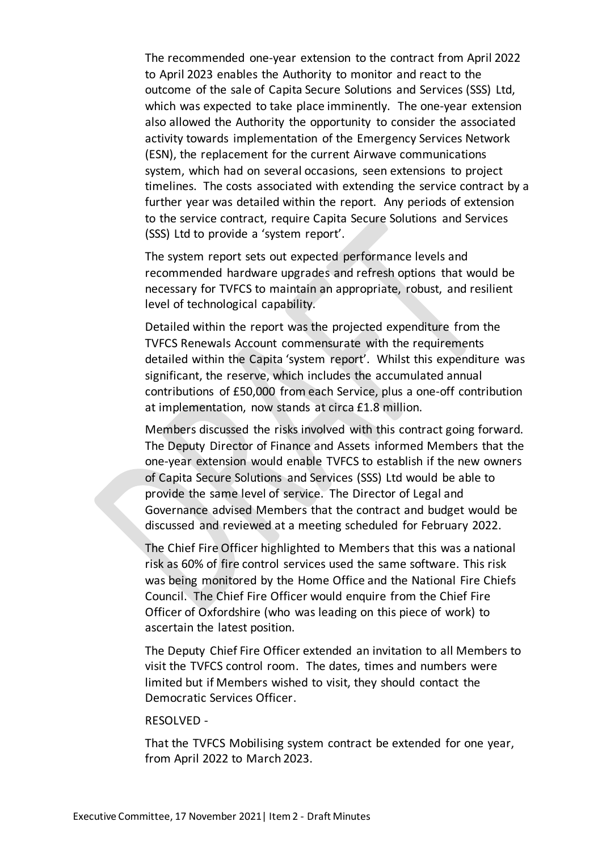The recommended one-year extension to the contract from April 2022 to April 2023 enables the Authority to monitor and react to the outcome of the sale of Capita Secure Solutions and Services (SSS) Ltd, which was expected to take place imminently. The one-year extension also allowed the Authority the opportunity to consider the associated activity towards implementation of the Emergency Services Network (ESN), the replacement for the current Airwave communications system, which had on several occasions, seen extensions to project timelines. The costs associated with extending the service contract by a further year was detailed within the report. Any periods of extension to the service contract, require Capita Secure Solutions and Services (SSS) Ltd to provide a 'system report'.

The system report sets out expected performance levels and recommended hardware upgrades and refresh options that would be necessary for TVFCS to maintain an appropriate, robust, and resilient level of technological capability.

Detailed within the report was the projected expenditure from the TVFCS Renewals Account commensurate with the requirements detailed within the Capita 'system report'. Whilst this expenditure was significant, the reserve, which includes the accumulated annual contributions of £50,000 from each Service, plus a one-off contribution at implementation, now stands at circa £1.8 million.

Members discussed the risks involved with this contract going forward. The Deputy Director of Finance and Assets informed Members that the one-year extension would enable TVFCS to establish if the new owners of Capita Secure Solutions and Services (SSS) Ltd would be able to provide the same level of service. The Director of Legal and Governance advised Members that the contract and budget would be discussed and reviewed at a meeting scheduled for February 2022.

The Chief Fire Officer highlighted to Members that this was a national risk as 60% of fire control services used the same software. This risk was being monitored by the Home Office and the National Fire Chiefs Council. The Chief Fire Officer would enquire from the Chief Fire Officer of Oxfordshire (who was leading on this piece of work) to ascertain the latest position.

The Deputy Chief Fire Officer extended an invitation to all Members to visit the TVFCS control room. The dates, times and numbers were limited but if Members wished to visit, they should contact the Democratic Services Officer.

#### RESOLVED -

That the TVFCS Mobilising system contract be extended for one year, from April 2022 to March 2023.